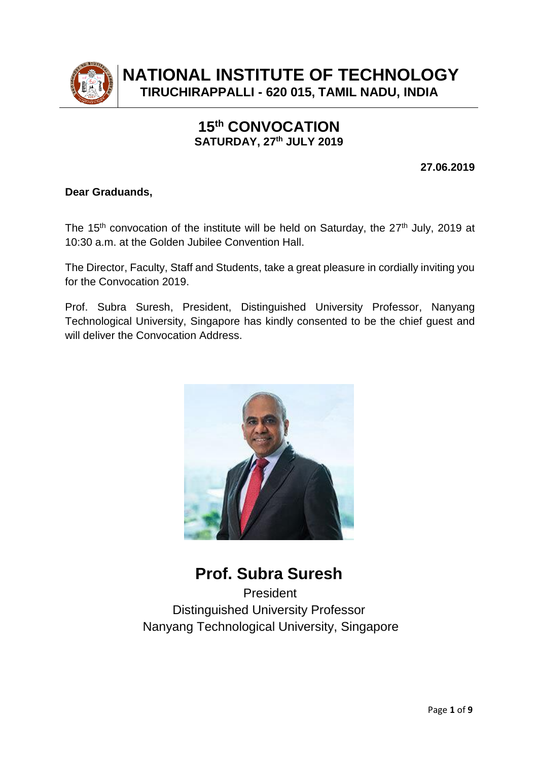

**NATIONAL INSTITUTE OF TECHNOLOGY TIRUCHIRAPPALLI - 620 015, TAMIL NADU, INDIA**

# **15 th CONVOCATION SATURDAY, 27 th JULY 2019**

**27.06.2019**

## **Dear Graduands,**

The 15<sup>th</sup> convocation of the institute will be held on Saturday, the 27<sup>th</sup> July, 2019 at 10:30 a.m. at the Golden Jubilee Convention Hall.

The Director, Faculty, Staff and Students, take a great pleasure in cordially inviting you for the Convocation 2019.

Prof. Subra Suresh, President, Distinguished University Professor, Nanyang Technological University, Singapore has kindly consented to be the chief guest and will deliver the Convocation Address.



**Prof. Subra Suresh** President Distinguished University Professor Nanyang Technological University, Singapore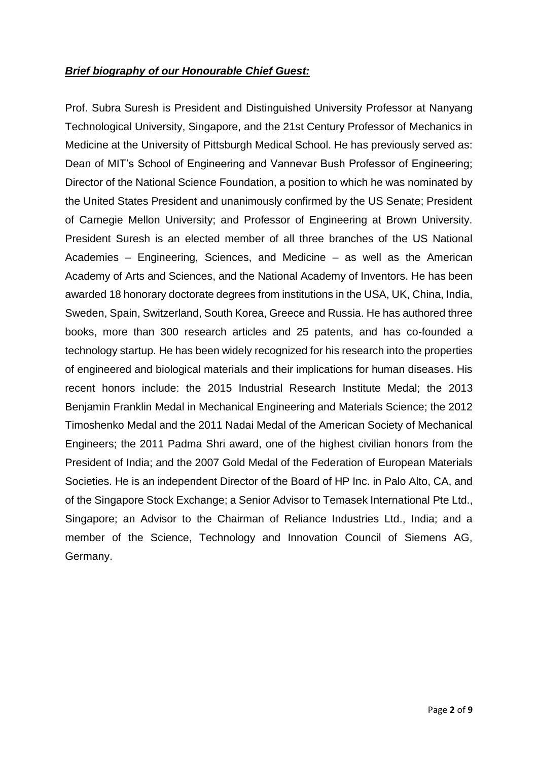## *Brief biography of our Honourable Chief Guest:*

Prof. Subra Suresh is President and Distinguished University Professor at Nanyang Technological University, Singapore, and the 21st Century Professor of Mechanics in Medicine at the University of Pittsburgh Medical School. He has previously served as: Dean of MIT's School of Engineering and Vannevar Bush Professor of Engineering; Director of the National Science Foundation, a position to which he was nominated by the United States President and unanimously confirmed by the US Senate; President of Carnegie Mellon University; and Professor of Engineering at Brown University. President Suresh is an elected member of all three branches of the US National Academies – Engineering, Sciences, and Medicine – as well as the American Academy of Arts and Sciences, and the National Academy of Inventors. He has been awarded 18 honorary doctorate degrees from institutions in the USA, UK, China, India, Sweden, Spain, Switzerland, South Korea, Greece and Russia. He has authored three books, more than 300 research articles and 25 patents, and has co-founded a technology startup. He has been widely recognized for his research into the properties of engineered and biological materials and their implications for human diseases. His recent honors include: the 2015 Industrial Research Institute Medal; the 2013 Benjamin Franklin Medal in Mechanical Engineering and Materials Science; the 2012 Timoshenko Medal and the 2011 Nadai Medal of the American Society of Mechanical Engineers; the 2011 Padma Shri award, one of the highest civilian honors from the President of India; and the 2007 Gold Medal of the Federation of European Materials Societies. He is an independent Director of the Board of HP Inc. in Palo Alto, CA, and of the Singapore Stock Exchange; a Senior Advisor to Temasek International Pte Ltd., Singapore; an Advisor to the Chairman of Reliance Industries Ltd., India; and a member of the Science, Technology and Innovation Council of Siemens AG, Germany.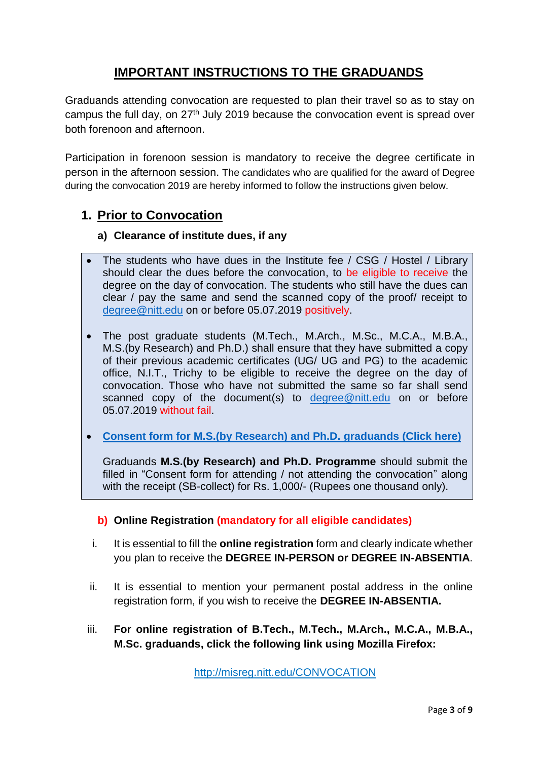# **IMPORTANT INSTRUCTIONS TO THE GRADUANDS**

Graduands attending convocation are requested to plan their travel so as to stay on campus the full day, on 27<sup>th</sup> July 2019 because the convocation event is spread over both forenoon and afternoon.

Participation in forenoon session is mandatory to receive the degree certificate in person in the afternoon session. The candidates who are qualified for the award of Degree during the convocation 2019 are hereby informed to follow the instructions given below.

## **1. Prior to Convocation**

## **a) Clearance of institute dues, if any**

- The students who have dues in the Institute fee / CSG / Hostel / Library should clear the dues before the convocation, to be eligible to receive the degree on the day of convocation. The students who still have the dues can clear / pay the same and send the scanned copy of the proof/ receipt to [degree@nitt.edu](mailto:degree@nitt.edu) on or before 05.07.2019 positively.
- The post graduate students (M.Tech., M.Arch., M.Sc., M.C.A., M.B.A., M.S.(by Research) and Ph.D.) shall ensure that they have submitted a copy of their previous academic certificates (UG/ UG and PG) to the academic office, N.I.T., Trichy to be eligible to receive the degree on the day of convocation. Those who have not submitted the same so far shall send scanned copy of the document(s) to [degree@nitt.edu](mailto:degree@nitt.edu) on or before 05.07.2019 without fail.
- **[Consent form for M.S.\(by Research\) and Ph.D. graduands](https://www.nitt.edu/home/students/events/convocation/convocation2017/2.Consent%20form%20for%20attending%20or%20not%20attending%20the%20convocation%20(Only%20for%20MS%20and%20Ph.D.%20Scholars).pdf) (Click here)**

Graduands **M.S.(by Research) and Ph.D. Programme** should submit the filled in "Consent form for attending / not attending the convocation" along with the receipt (SB-collect) for Rs. 1,000/- (Rupees one thousand only).

## **b) Online Registration (mandatory for all eligible candidates)**

- i. It is essential to fill the **online registration** form and clearly indicate whether you plan to receive the **DEGREE IN-PERSON or DEGREE IN-ABSENTIA**.
- ii. It is essential to mention your permanent postal address in the online registration form, if you wish to receive the **DEGREE IN-ABSENTIA.**
- iii. **For online registration of B.Tech., M.Tech., M.Arch., M.C.A., M.B.A., M.Sc. graduands, click the following link using Mozilla Firefox:**

<http://misreg.nitt.edu/CONVOCATION>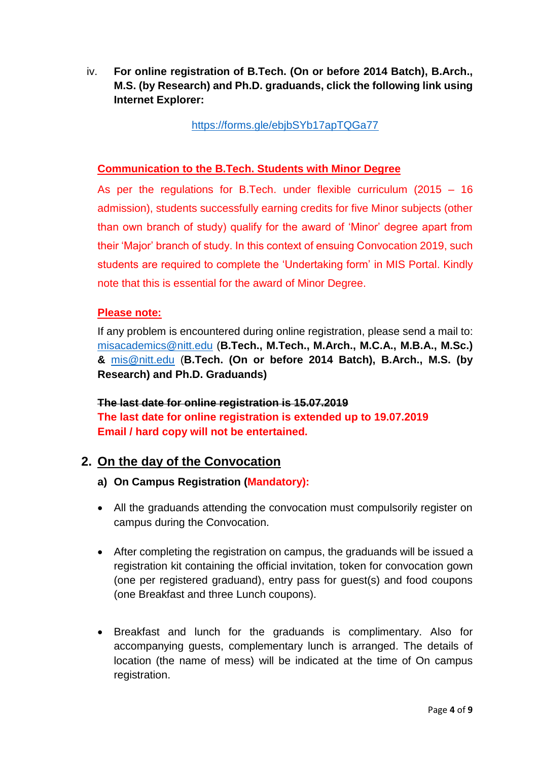iv. **For online registration of B.Tech. (On or before 2014 Batch), B.Arch., M.S. (by Research) and Ph.D. graduands, click the following link using Internet Explorer:**

<https://forms.gle/ebjbSYb17apTQGa77>

## **Communication to the B.Tech. Students with Minor Degree**

As per the regulations for B.Tech. under flexible curriculum (2015 – 16 admission), students successfully earning credits for five Minor subjects (other than own branch of study) qualify for the award of 'Minor' degree apart from their 'Major' branch of study. In this context of ensuing Convocation 2019, such students are required to complete the 'Undertaking form' in MIS Portal. Kindly note that this is essential for the award of Minor Degree.

## **Please note:**

If any problem is encountered during online registration, please send a mail to: [misacademics@nitt.edu](mailto:misacademics@nitt.edu) (**B.Tech., M.Tech., M.Arch., M.C.A., M.B.A., M.Sc.) &** [mis@nitt.edu](mailto:mis@nitt.edu) (**B.Tech. (On or before 2014 Batch), B.Arch., M.S. (by Research) and Ph.D. Graduands)**

**The last date for online registration is 15.07.2019 The last date for online registration is extended up to 19.07.2019 Email / hard copy will not be entertained.**

## **2. On the day of the Convocation**

- **a) On Campus Registration (Mandatory):**
- All the graduands attending the convocation must compulsorily register on campus during the Convocation.
- After completing the registration on campus, the graduands will be issued a registration kit containing the official invitation, token for convocation gown (one per registered graduand), entry pass for guest(s) and food coupons (one Breakfast and three Lunch coupons).
- Breakfast and lunch for the graduands is complimentary. Also for accompanying guests, complementary lunch is arranged. The details of location (the name of mess) will be indicated at the time of On campus registration.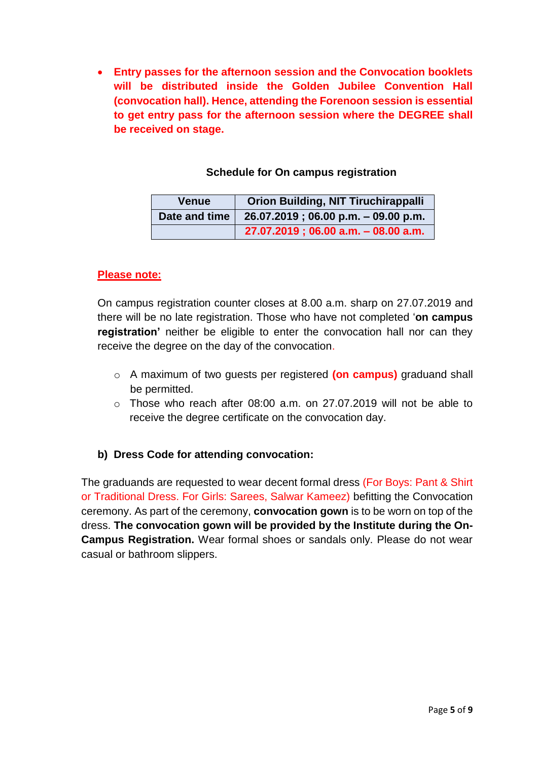**Entry passes for the afternoon session and the Convocation booklets will be distributed inside the Golden Jubilee Convention Hall (convocation hall). Hence, attending the Forenoon session is essential to get entry pass for the afternoon session where the DEGREE shall be received on stage.**

## **Schedule for On campus registration**

| Venue         | <b>Orion Building, NIT Tiruchirappalli</b> |
|---------------|--------------------------------------------|
| Date and time | 26.07.2019 ; 06.00 p.m. - 09.00 p.m.       |
|               | $27.07.2019$ ; 06.00 a.m. - 08.00 a.m.     |

## **Please note:**

On campus registration counter closes at 8.00 a.m. sharp on 27.07.2019 and there will be no late registration. Those who have not completed '**on campus registration'** neither be eligible to enter the convocation hall nor can they receive the degree on the day of the convocation.

- o A maximum of two guests per registered **(on campus)** graduand shall be permitted.
- $\circ$  Those who reach after 08:00 a.m. on 27.07.2019 will not be able to receive the degree certificate on the convocation day.

## **b) Dress Code for attending convocation:**

The graduands are requested to wear decent formal dress (For Boys: Pant & Shirt or Traditional Dress. For Girls: Sarees, Salwar Kameez) befitting the Convocation ceremony. As part of the ceremony, **convocation gown** is to be worn on top of the dress. **The convocation gown will be provided by the Institute during the On-Campus Registration.** Wear formal shoes or sandals only. Please do not wear casual or bathroom slippers.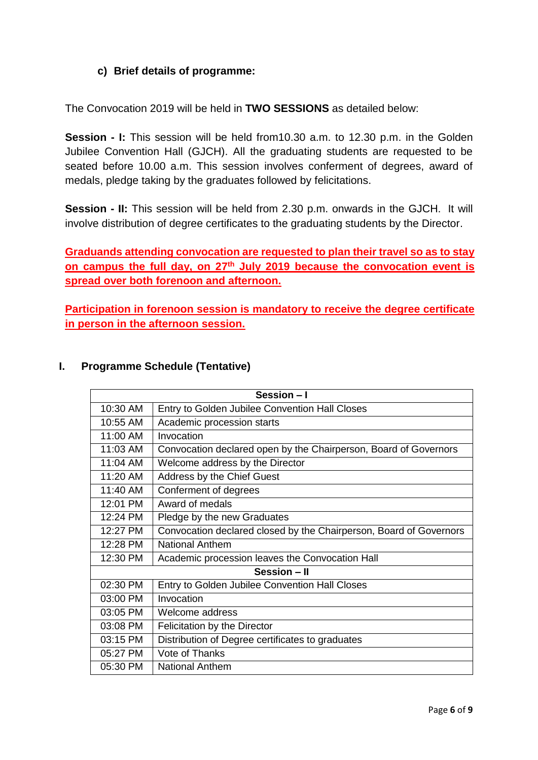## **c) Brief details of programme:**

The Convocation 2019 will be held in **TWO SESSIONS** as detailed below:

**Session - I:** This session will be held from10.30 a.m. to 12.30 p.m. in the Golden Jubilee Convention Hall (GJCH). All the graduating students are requested to be seated before 10.00 a.m. This session involves conferment of degrees, award of medals, pledge taking by the graduates followed by felicitations.

**Session - II:** This session will be held from 2.30 p.m. onwards in the GJCH. It will involve distribution of degree certificates to the graduating students by the Director.

**Graduands attending convocation are requested to plan their travel so as to stay on campus the full day, on 27 th July 2019 because the convocation event is spread over both forenoon and afternoon.** 

**Participation in forenoon session is mandatory to receive the degree certificate in person in the afternoon session.** 

| Session - I  |                                                                    |  |
|--------------|--------------------------------------------------------------------|--|
| 10:30 AM     | Entry to Golden Jubilee Convention Hall Closes                     |  |
| 10:55 AM     | Academic procession starts                                         |  |
| 11:00 AM     | Invocation                                                         |  |
| 11:03 AM     | Convocation declared open by the Chairperson, Board of Governors   |  |
| 11:04 AM     | Welcome address by the Director                                    |  |
| 11:20 AM     | Address by the Chief Guest                                         |  |
| 11:40 AM     | Conferment of degrees                                              |  |
| 12:01 PM     | Award of medals                                                    |  |
| 12:24 PM     | Pledge by the new Graduates                                        |  |
| 12:27 PM     | Convocation declared closed by the Chairperson, Board of Governors |  |
| 12:28 PM     | <b>National Anthem</b>                                             |  |
| 12:30 PM     | Academic procession leaves the Convocation Hall                    |  |
| Session - II |                                                                    |  |
| 02:30 PM     | Entry to Golden Jubilee Convention Hall Closes                     |  |
| 03:00 PM     | Invocation                                                         |  |
| 03:05 PM     | Welcome address                                                    |  |
| 03:08 PM     | <b>Felicitation by the Director</b>                                |  |
| 03:15 PM     | Distribution of Degree certificates to graduates                   |  |
| 05:27 PM     | Vote of Thanks                                                     |  |
| 05:30 PM     | <b>National Anthem</b>                                             |  |

## **I. Programme Schedule (Tentative)**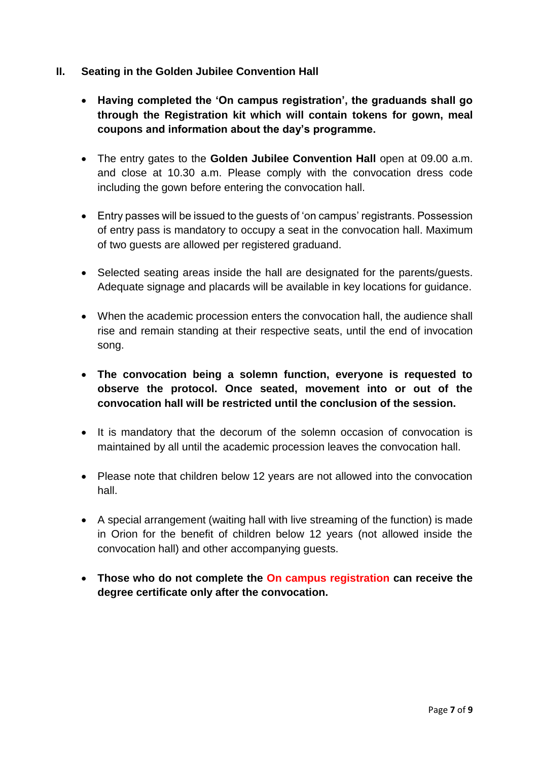- **II. Seating in the Golden Jubilee Convention Hall**
	- **Having completed the 'On campus registration', the graduands shall go through the Registration kit which will contain tokens for gown, meal coupons and information about the day's programme.**
	- The entry gates to the **Golden Jubilee Convention Hall** open at 09.00 a.m. and close at 10.30 a.m. Please comply with the convocation dress code including the gown before entering the convocation hall.
	- Entry passes will be issued to the guests of 'on campus' registrants. Possession of entry pass is mandatory to occupy a seat in the convocation hall. Maximum of two guests are allowed per registered graduand.
	- Selected seating areas inside the hall are designated for the parents/guests. Adequate signage and placards will be available in key locations for guidance.
	- When the academic procession enters the convocation hall, the audience shall rise and remain standing at their respective seats, until the end of invocation song.
	- **The convocation being a solemn function, everyone is requested to observe the protocol. Once seated, movement into or out of the convocation hall will be restricted until the conclusion of the session.**
	- It is mandatory that the decorum of the solemn occasion of convocation is maintained by all until the academic procession leaves the convocation hall.
	- Please note that children below 12 years are not allowed into the convocation hall.
	- A special arrangement (waiting hall with live streaming of the function) is made in Orion for the benefit of children below 12 years (not allowed inside the convocation hall) and other accompanying guests.
	- **Those who do not complete the On campus registration can receive the degree certificate only after the convocation.**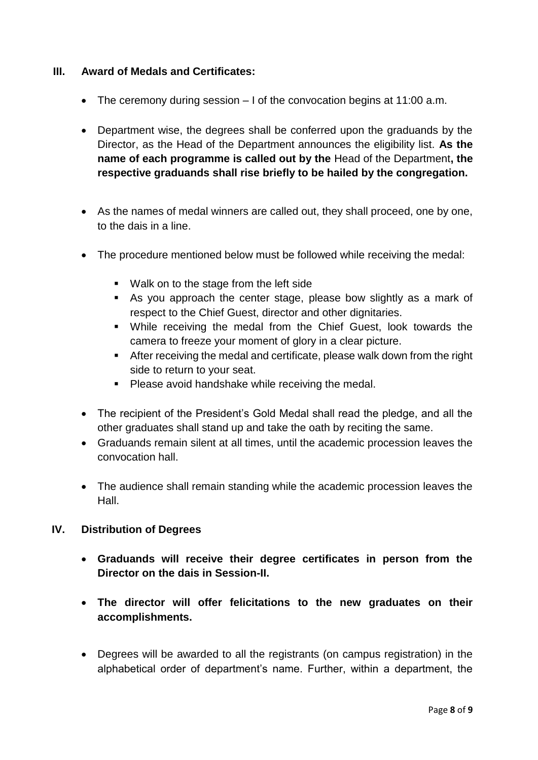## **III. Award of Medals and Certificates:**

- The ceremony during session I of the convocation begins at 11:00 a.m.
- Department wise, the degrees shall be conferred upon the graduands by the Director, as the Head of the Department announces the eligibility list. **As the name of each programme is called out by the** Head of the Department**, the respective graduands shall rise briefly to be hailed by the congregation.**
- As the names of medal winners are called out, they shall proceed, one by one, to the dais in a line.
- The procedure mentioned below must be followed while receiving the medal:
	- **Walk on to the stage from the left side**
	- As you approach the center stage, please bow slightly as a mark of respect to the Chief Guest, director and other dignitaries.
	- While receiving the medal from the Chief Guest, look towards the camera to freeze your moment of glory in a clear picture.
	- After receiving the medal and certificate, please walk down from the right side to return to your seat.
	- **Please avoid handshake while receiving the medal.**
- The recipient of the President's Gold Medal shall read the pledge, and all the other graduates shall stand up and take the oath by reciting the same.
- Graduands remain silent at all times, until the academic procession leaves the convocation hall.
- The audience shall remain standing while the academic procession leaves the Hall.

## **IV. Distribution of Degrees**

- **Graduands will receive their degree certificates in person from the Director on the dais in Session-II.**
- **The director will offer felicitations to the new graduates on their accomplishments.**
- Degrees will be awarded to all the registrants (on campus registration) in the alphabetical order of department's name. Further, within a department, the